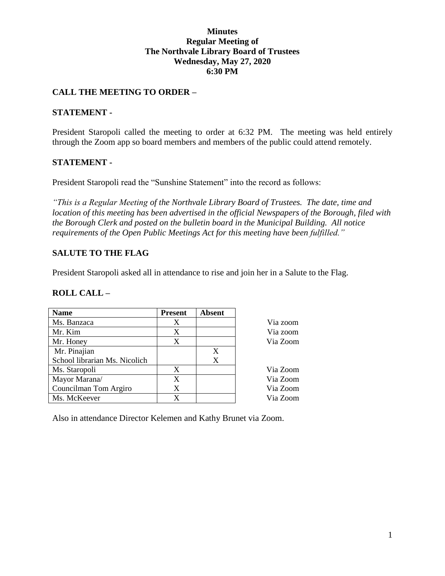### **Minutes Regular Meeting of The Northvale Library Board of Trustees Wednesday, May 27, 2020 6:30 PM**

# **CALL THE MEETING TO ORDER –**

### **STATEMENT -**

President Staropoli called the meeting to order at 6:32 PM. The meeting was held entirely through the Zoom app so board members and members of the public could attend remotely.

### **STATEMENT -**

President Staropoli read the "Sunshine Statement" into the record as follows:

*"This is a Regular Meeting of the Northvale Library Board of Trustees. The date, time and location of this meeting has been advertised in the official Newspapers of the Borough, filed with the Borough Clerk and posted on the bulletin board in the Municipal Building. All notice requirements of the Open Public Meetings Act for this meeting have been fulfilled."* 

# **SALUTE TO THE FLAG**

President Staropoli asked all in attendance to rise and join her in a Salute to the Flag.

#### **ROLL CALL –**

| <b>Name</b>                   | <b>Present</b> | <b>Absent</b> |          |
|-------------------------------|----------------|---------------|----------|
| Ms. Banzaca                   | Χ              |               | Via zoom |
| Mr. Kim                       | X              |               | Via zoom |
| Mr. Honey                     | X              |               | Via Zoom |
| Mr. Pinajian                  |                | X             |          |
| School librarian Ms. Nicolich |                | X             |          |
| Ms. Staropoli                 | X              |               | Via Zoom |
| Mayor Marana/                 | X              |               | Via Zoom |
| Councilman Tom Argiro         | X              |               | Via Zoom |
| Ms. McKeever                  | X              |               | Via Zoom |

Also in attendance Director Kelemen and Kathy Brunet via Zoom.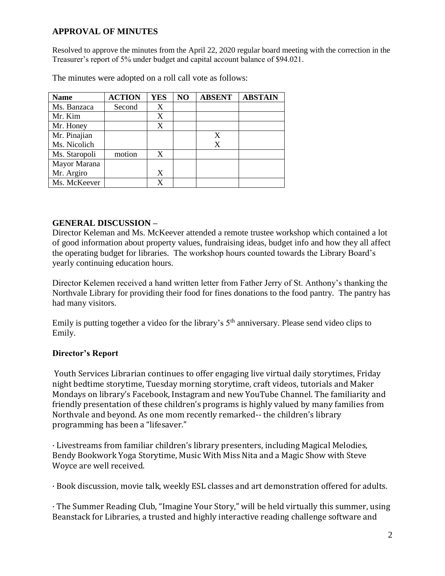# **APPROVAL OF MINUTES**

Resolved to approve the minutes from the April 22, 2020 regular board meeting with the correction in the Treasurer's report of 5% under budget and capital account balance of \$94.021.

| <b>Name</b>   | <b>ACTION</b> | YES | N <sub>O</sub> | <b>ABSENT</b> | <b>ABSTAIN</b> |
|---------------|---------------|-----|----------------|---------------|----------------|
| Ms. Banzaca   | Second        | X   |                |               |                |
| Mr. Kim       |               | X   |                |               |                |
| Mr. Honey     |               | X   |                |               |                |
| Mr. Pinajian  |               |     |                | X             |                |
| Ms. Nicolich  |               |     |                | X             |                |
| Ms. Staropoli | motion        | X   |                |               |                |
| Mayor Marana  |               |     |                |               |                |
| Mr. Argiro    |               | X   |                |               |                |
| Ms. McKeever  |               | X   |                |               |                |

The minutes were adopted on a roll call vote as follows:

# **GENERAL DISCUSSION –**

Director Keleman and Ms. McKeever attended a remote trustee workshop which contained a lot of good information about property values, fundraising ideas, budget info and how they all affect the operating budget for libraries. The workshop hours counted towards the Library Board's yearly continuing education hours.

Director Kelemen received a hand written letter from Father Jerry of St. Anthony's thanking the Northvale Library for providing their food for fines donations to the food pantry. The pantry has had many visitors.

Emily is putting together a video for the library's 5<sup>th</sup> anniversary. Please send video clips to Emily.

# **Director's Report**

Youth Services Librarian continues to offer engaging live virtual daily storytimes, Friday night bedtime storytime, Tuesday morning storytime, craft videos, tutorials and Maker Mondays on library's Facebook, Instagram and new YouTube Channel. The familiarity and friendly presentation of these children's programs is highly valued by many families from Northvale and beyond. As one mom recently remarked-- the children's library programming has been a "lifesaver."

· Livestreams from familiar children's library presenters, including Magical Melodies, Bendy Bookwork Yoga Storytime, Music With Miss Nita and a Magic Show with Steve Woyce are well received.

· Book discussion, movie talk, weekly ESL classes and art demonstration offered for adults.

· The Summer Reading Club, "Imagine Your Story," will be held virtually this summer, using Beanstack for Libraries, a trusted and highly interactive reading challenge software and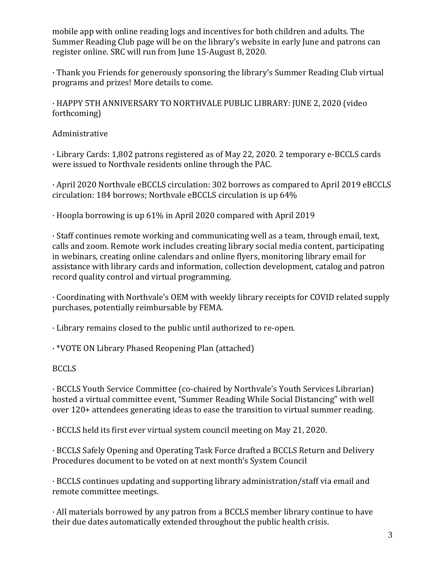mobile app with online reading logs and incentives for both children and adults. The Summer Reading Club page will be on the library's website in early June and patrons can register online. SRC will run from June 15-August 8, 2020.

· Thank you Friends for generously sponsoring the library's Summer Reading Club virtual programs and prizes! More details to come.

· HAPPY 5TH ANNIVERSARY TO NORTHVALE PUBLIC LIBRARY: JUNE 2, 2020 (video forthcoming)

Administrative

· Library Cards: 1,802 patrons registered as of May 22, 2020. 2 temporary e-BCCLS cards were issued to Northvale residents online through the PAC.

· April 2020 Northvale eBCCLS circulation: 302 borrows as compared to April 2019 eBCCLS circulation: 184 borrows; Northvale eBCCLS circulation is up 64%

· Hoopla borrowing is up 61% in April 2020 compared with April 2019

· Staff continues remote working and communicating well as a team, through email, text, calls and zoom. Remote work includes creating library social media content, participating in webinars, creating online calendars and online flyers, monitoring library email for assistance with library cards and information, collection development, catalog and patron record quality control and virtual programming.

· Coordinating with Northvale's OEM with weekly library receipts for COVID related supply purchases, potentially reimbursable by FEMA.

· Library remains closed to the public until authorized to re-open.

· \*VOTE ON Library Phased Reopening Plan (attached)

BCCLS

· BCCLS Youth Service Committee (co-chaired by Northvale's Youth Services Librarian) hosted a virtual committee event, "Summer Reading While Social Distancing" with well over 120+ attendees generating ideas to ease the transition to virtual summer reading.

· BCCLS held its first ever virtual system council meeting on May 21, 2020.

· BCCLS Safely Opening and Operating Task Force drafted a BCCLS Return and Delivery Procedures document to be voted on at next month's System Council

· BCCLS continues updating and supporting library administration/staff via email and remote committee meetings.

· All materials borrowed by any patron from a BCCLS member library continue to have their due dates automatically extended throughout the public health crisis.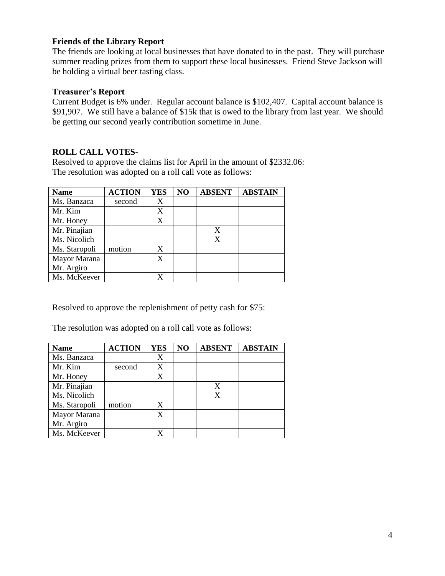### **Friends of the Library Report**

The friends are looking at local businesses that have donated to in the past. They will purchase summer reading prizes from them to support these local businesses. Friend Steve Jackson will be holding a virtual beer tasting class.

### **Treasurer's Report**

Current Budget is 6% under. Regular account balance is \$102,407. Capital account balance is \$91,907. We still have a balance of \$15k that is owed to the library from last year. We should be getting our second yearly contribution sometime in June.

# **ROLL CALL VOTES-**

Resolved to approve the claims list for April in the amount of \$2332.06: The resolution was adopted on a roll call vote as follows:

| <b>Name</b>   | <b>ACTION</b> | <b>YES</b> | NO | <b>ABSENT</b> | <b>ABSTAIN</b> |
|---------------|---------------|------------|----|---------------|----------------|
| Ms. Banzaca   | second        | X          |    |               |                |
| Mr. Kim       |               | X          |    |               |                |
| Mr. Honey     |               | X          |    |               |                |
| Mr. Pinajian  |               |            |    | X             |                |
| Ms. Nicolich  |               |            |    | X             |                |
| Ms. Staropoli | motion        | X          |    |               |                |
| Mayor Marana  |               | X          |    |               |                |
| Mr. Argiro    |               |            |    |               |                |
| Ms. McKeever  |               | X          |    |               |                |

Resolved to approve the replenishment of petty cash for \$75:

The resolution was adopted on a roll call vote as follows:

| <b>Name</b>   | <b>ACTION</b> | <b>YES</b> | NO | <b>ABSENT</b> | <b>ABSTAIN</b> |
|---------------|---------------|------------|----|---------------|----------------|
| Ms. Banzaca   |               | X          |    |               |                |
| Mr. Kim       | second        | X          |    |               |                |
| Mr. Honey     |               | X          |    |               |                |
| Mr. Pinajian  |               |            |    | X             |                |
| Ms. Nicolich  |               |            |    | X             |                |
| Ms. Staropoli | motion        | X          |    |               |                |
| Mayor Marana  |               | X          |    |               |                |
| Mr. Argiro    |               |            |    |               |                |
| Ms. McKeever  |               |            |    |               |                |